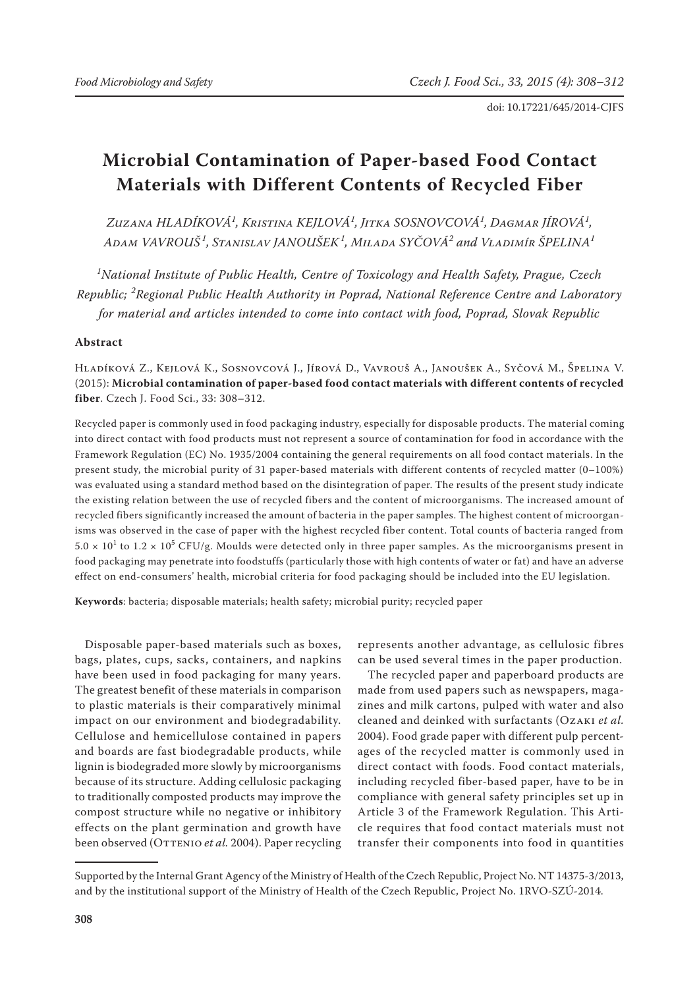# **Microbial Contamination of Paper-based Food Contact Materials with Different Contents of Recycled Fiber**

*Zuzana HLADÍKOVÁ<sup>1</sup> , Kristina KEJLOVÁ<sup>1</sup> , Jitka SOSNOVCOVÁ<sup>1</sup> , Dagmar JÍROVÁ<sup>1</sup> , Adam VAVROUŠ <sup>1</sup> , Stanislav JANOUŠEK<sup>1</sup> , Milada SYČOVÁ<sup>2</sup> and Vladimír ŠPELINA<sup>1</sup>*

*1 National Institute of Public Health, Centre of Toxicology and Health Safety, Prague, Czech Republic; <sup>2</sup> Regional Public Health Authority in Poprad, National Reference Centre and Laboratory for material and articles intended to come into contact with food, Poprad, Slovak Republic*

# **Abstract**

Hladíková Z., Kejlová K., Sosnovcová J., Jírová D., Vavrouš A., Janoušek A., Syčová M., Špelina V. (2015): **Microbial contamination of paper-based food contact materials with different contents of recycled fiber**. Czech J. Food Sci., 33: 308–312.

Recycled paper is commonly used in food packaging industry, especially for disposable products. The material coming into direct contact with food products must not represent a source of contamination for food in accordance with the Framework Regulation (EC) No. 1935/2004 containing the general requirements on all food contact materials. In the present study, the microbial purity of 31 paper-based materials with different contents of recycled matter (0–100%) was evaluated using a standard method based on the disintegration of paper. The results of the present study indicate the existing relation between the use of recycled fibers and the content of microorganisms. The increased amount of recycled fibers significantly increased the amount of bacteria in the paper samples. The highest content of microorganisms was observed in the case of paper with the highest recycled fiber content. Total counts of bacteria ranged from  $5.0 \times 10^1$  to  $1.2 \times 10^5$  CFU/g. Moulds were detected only in three paper samples. As the microorganisms present in food packaging may penetrate into foodstuffs (particularly those with high contents of water or fat) and have an adverse effect on end-consumers' health, microbial criteria for food packaging should be included into the EU legislation.

**Keywords**: bacteria; disposable materials; health safety; microbial purity; recycled paper

Disposable paper-based materials such as boxes, bags, plates, cups, sacks, containers, and napkins have been used in food packaging for many years. The greatest benefit of these materials in comparison to plastic materials is their comparatively minimal impact on our environment and biodegradability. Cellulose and hemicellulose contained in papers and boards are fast biodegradable products, while lignin is biodegraded more slowly by microorganisms because of its structure. Adding cellulosic packaging to traditionally composted products may improve the compost structure while no negative or inhibitory effects on the plant germination and growth have been observed (OTTENIO *et al.* 2004). Paper recycling

represents another advantage, as cellulosic fibres can be used several times in the paper production.

The recycled paper and paperboard products are made from used papers such as newspapers, magazines and milk cartons, pulped with water and also cleaned and deinked with surfactants (Ozaki *et al.* 2004). Food grade paper with different pulp percentages of the recycled matter is commonly used in direct contact with foods. Food contact materials, including recycled fiber-based paper, have to be in compliance with general safety principles set up in Article 3 of the Framework Regulation. This Article requires that food contact materials must not transfer their components into food in quantities

Supported by the Internal Grant Agency of the Ministry of Health of the Czech Republic, Project No. NT 14375-3/2013, and by the institutional support of the Ministry of Health of the Czech Republic, Project No. 1RVO-SZÚ-2014.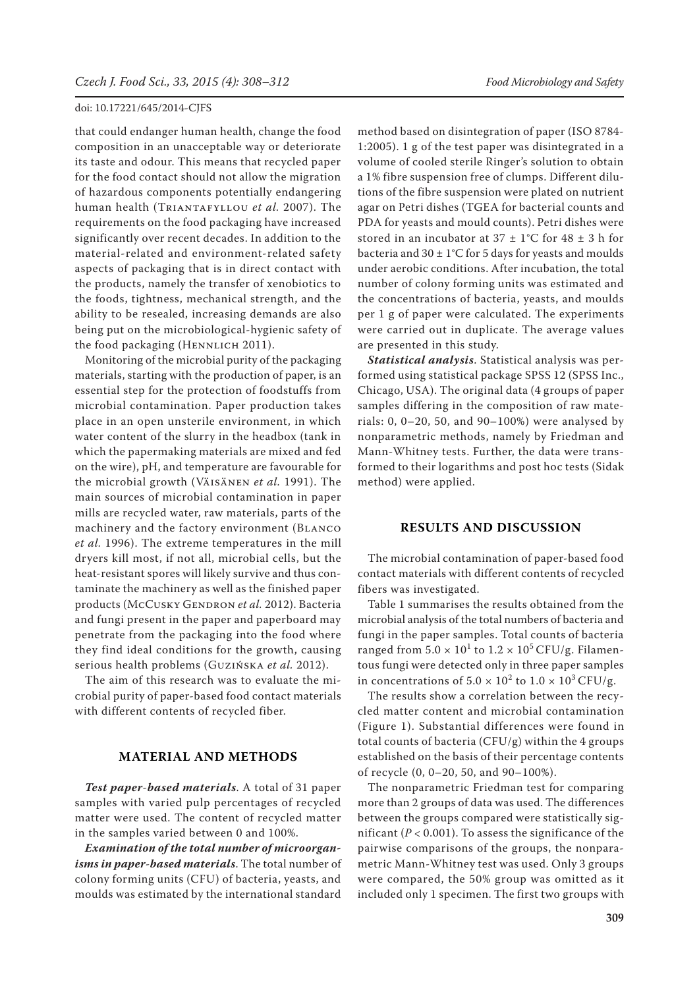that could endanger human health, change the food composition in an unacceptable way or deteriorate its taste and odour. This means that recycled paper for the food contact should not allow the migration of hazardous components potentially endangering human health (Triantafyllou *et al.* 2007). The requirements on the food packaging have increased significantly over recent decades. In addition to the material-related and environment-related safety aspects of packaging that is in direct contact with the products, namely the transfer of xenobiotics to the foods, tightness, mechanical strength, and the ability to be resealed, increasing demands are also being put on the microbiological-hygienic safety of the food packaging (HENNLICH 2011).

Monitoring of the microbial purity of the packaging materials, starting with the production of paper, is an essential step for the protection of foodstuffs from microbial contamination. Paper production takes place in an open unsterile environment, in which water content of the slurry in the headbox (tank in which the papermaking materials are mixed and fed on the wire), pH, and temperature are favourable for the microbial growth (Väisänen *et al.* 1991). The main sources of microbial contamination in paper mills are recycled water, raw materials, parts of the machinery and the factory environment (Blanco *et al.* 1996). The extreme temperatures in the mill dryers kill most, if not all, microbial cells, but the heat-resistant spores will likely survive and thus contaminate the machinery as well as the finished paper products (McCusky GENDRON et al. 2012). Bacteria and fungi present in the paper and paperboard may penetrate from the packaging into the food where they find ideal conditions for the growth, causing serious health problems (Guzińska *et al.* 2012).

The aim of this research was to evaluate the microbial purity of paper-based food contact materials with different contents of recycled fiber.

### **MATERIAL AND METHODS**

*Test paper*-*based materials*. A total of 31 paper samples with varied pulp percentages of recycled matter were used. The content of recycled matter in the samples varied between 0 and 100%.

*Examination of the total number of microorganisms in paper*-*based materials*. The total number of colony forming units (CFU) of bacteria, yeasts, and moulds was estimated by the international standard

method based on disintegration of paper (ISO 8784- 1:2005). 1 g of the test paper was disintegrated in a volume of cooled sterile Ringer's solution to obtain a 1% fibre suspension free of clumps. Different dilutions of the fibre suspension were plated on nutrient agar on Petri dishes (TGEA for bacterial counts and PDA for yeasts and mould counts). Petri dishes were stored in an incubator at  $37 \pm 1^{\circ}$ C for  $48 \pm 3$  h for bacteria and  $30 \pm 1$ °C for 5 days for yeasts and moulds under aerobic conditions. After incubation, the total number of colony forming units was estimated and the concentrations of bacteria, yeasts, and moulds per 1 g of paper were calculated. The experiments were carried out in duplicate. The average values are presented in this study.

*Statistical analysis*. Statistical analysis was performed using statistical package SPSS 12 (SPSS Inc., Chicago, USA). The original data (4 groups of paper samples differing in the composition of raw materials: 0, 0–20, 50, and 90–100%) were analysed by nonparametric methods, namely by Friedman and Mann-Whitney tests. Further, the data were transformed to their logarithms and post hoc tests (Sidak method) were applied.

#### **RESULTS AND DISCUSSION**

The microbial contamination of paper-based food contact materials with different contents of recycled fibers was investigated.

Table 1 summarises the results obtained from the microbial analysis of the total numbers of bacteria and fungi in the paper samples. Total counts of bacteria ranged from  $5.0 \times 10^1$  to  $1.2 \times 10^5$  CFU/g. Filamentous fungi were detected only in three paper samples in concentrations of  $5.0 \times 10^2$  to  $1.0 \times 10^3$  CFU/g.

The results show a correlation between the recycled matter content and microbial contamination (Figure 1). Substantial differences were found in total counts of bacteria (CFU/g) within the 4 groups established on the basis of their percentage contents of recycle (0, 0–20, 50, and 90–100%).

The nonparametric Friedman test for comparing more than 2 groups of data was used. The differences between the groups compared were statistically significant  $(P < 0.001)$ . To assess the significance of the pairwise comparisons of the groups, the nonparametric Mann-Whitney test was used. Only 3 groups were compared, the 50% group was omitted as it included only 1 specimen. The first two groups with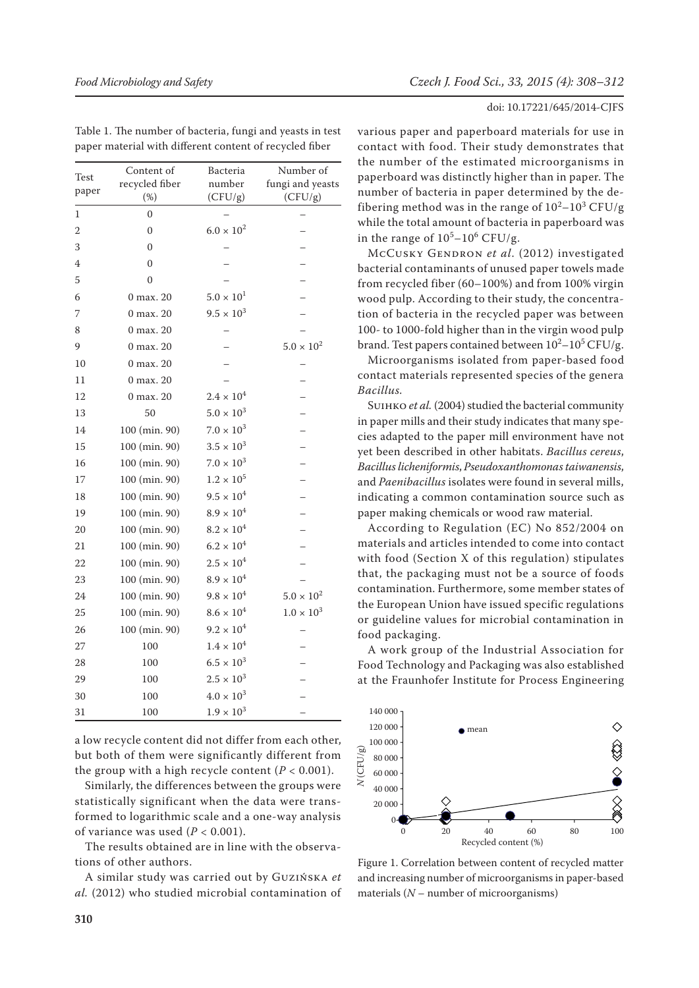| Test<br>paper | Content of<br>recycled fiber<br>$(\%)$ | Bacteria<br>number<br>(CFU/g) | Number of<br>fungi and yeasts<br>(CFU/g) |
|---------------|----------------------------------------|-------------------------------|------------------------------------------|
| 1             | $\Omega$                               |                               |                                          |
| 2             | $\overline{0}$                         | $6.0 \times 10^{2}$           |                                          |
| 3             | $\theta$                               |                               |                                          |
| 4             | $\theta$                               |                               |                                          |
| 5             | $\theta$                               |                               |                                          |
| 6             | 0 max. 20                              | $5.0 \times 10^{1}$           |                                          |
| 7             | $0$ max, $20$                          | $9.5 \times 10^{3}$           |                                          |
| 8             | 0 max. 20                              |                               |                                          |
| 9             | 0 max. 20                              |                               | $5.0 \times 10^{2}$                      |
| 10            | 0 max. 20                              |                               |                                          |
| 11            | 0 max. 20                              |                               |                                          |
| 12            | 0 max. 20                              | $2.4 \times 10^{4}$           |                                          |
| 13            | 50                                     | $5.0 \times 10^{3}$           |                                          |
| 14            | 100 (min. 90)                          | $7.0 \times 10^{3}$           |                                          |
| 15            | 100 (min. 90)                          | $3.5 \times 10^{3}$           |                                          |
| 16            | 100 (min. 90)                          | $7.0 \times 10^{3}$           |                                          |
| 17            | 100 (min. 90)                          | $1.2 \times 10^{5}$           |                                          |
| 18            | 100 (min. 90)                          | $9.5 \times 10^{4}$           |                                          |
| 19            | 100 (min. 90)                          | $8.9 \times 10^{4}$           |                                          |
| 20            | 100 (min. 90)                          | $8.2 \times 10^{4}$           |                                          |
| 21            | 100 (min. 90)                          | $6.2 \times 10^{4}$           |                                          |
| 22            | 100 (min. 90)                          | $2.5 \times 10^{4}$           |                                          |
| 23            | 100 (min. 90)                          | $8.9\times10^4$               |                                          |
| 24            | 100 (min. 90)                          | $9.8 \times 10^{4}$           | $5.0 \times 10^{2}$                      |
| 25            | 100 (min. 90)                          | $8.6 \times 10^{4}$           | $1.0 \times 10^{3}$                      |
| 26            | 100 (min. 90)                          | $9.2 \times 10^{4}$           |                                          |
| 27            | 100                                    | $1.4 \times 10^{4}$           |                                          |
| 28            | 100                                    | $6.5 \times 10^{3}$           |                                          |
| 29            | 100                                    | $2.5 \times 10^{3}$           |                                          |
| 30            | 100                                    | $4.0 \times 10^{3}$           |                                          |
| 31            | 100                                    | $1.9 \times 10^{3}$           |                                          |

Table 1. The number of bacteria, fungi and yeasts in test paper material with different content of recycled fiber

a low recycle content did not differ from each other, but both of them were significantly different from the group with a high recycle content  $(P < 0.001)$ .

Similarly, the differences between the groups were statistically significant when the data were transformed to logarithmic scale and a one-way analysis of variance was used  $(P < 0.001)$ .

The results obtained are in line with the observations of other authors.

A similar study was carried out by Guzińska *et al.* (2012) who studied microbial contamination of

### doi: 10.17221/645/2014-CJFS

various paper and paperboard materials for use in contact with food. Their study demonstrates that the number of the estimated microorganisms in paperboard was distinctly higher than in paper. The number of bacteria in paper determined by the defibering method was in the range of  $10^2 - 10^3$  CFU/g while the total amount of bacteria in paperboard was in the range of  $10^5 - 10^6$  CFU/g.

McCusky Gendron *et al.* (2012) investigated bacterial contaminants of unused paper towels made from recycled fiber (60–100%) and from 100% virgin wood pulp. According to their study, the concentration of bacteria in the recycled paper was between 100- to 1000-fold higher than in the virgin wood pulp brand. Test papers contained between  $10^2 - 10^5$  CFU/g.

Microorganisms isolated from paper-based food contact materials represented species of the genera *Bacillus.*

Suihko *et al.* (2004) studied the bacterial community in paper mills and their study indicates that many species adapted to the paper mill environment have not yet been described in other habitats. *Bacillus cereus*, *Bacillus licheniformis*, *Pseudoxanthomonas taiwanensis*, and *Paenibacillus* isolates were found in several mills, indicating a common contamination source such as paper making chemicals or wood raw material.

According to Regulation (EC) No 852/2004 on materials and articles intended to come into contact with food (Section X of this regulation) stipulates that, the packaging must not be a source of foods contamination. Furthermore, some member states of the European Union have issued specific regulations or guideline values for microbial contamination in food packaging.

A work group of the Industrial Association for Food Technology and Packaging was also established at the Fraunhofer Institute for Process Engineering



Figure 1. Correlation between content of recycled matter and increasing number of microorganisms in paper-based materials (*N* – number of microorganisms)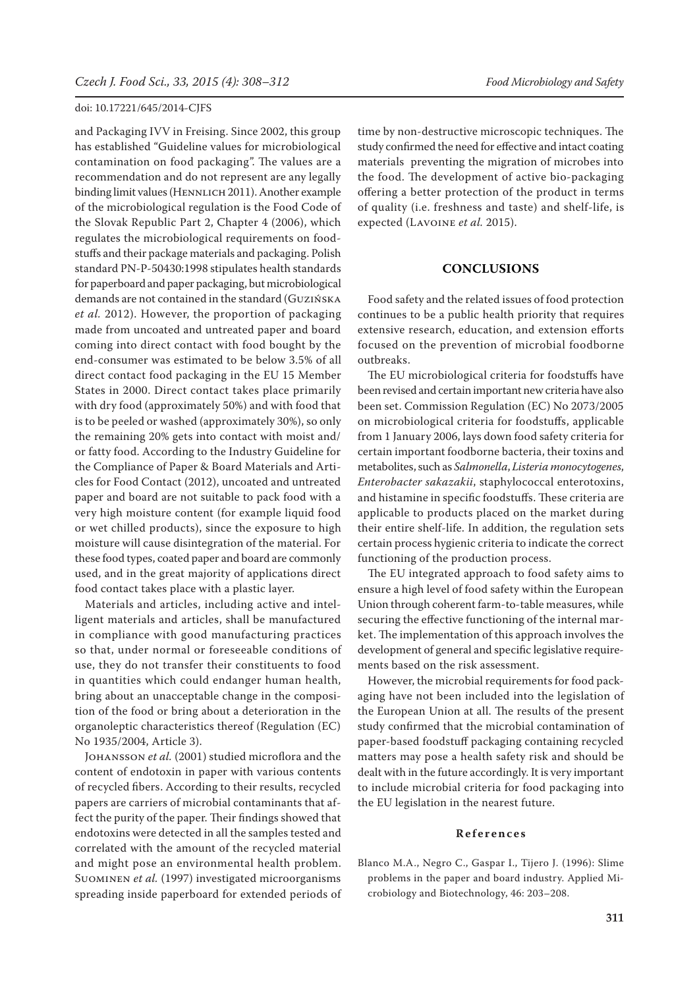and Packaging IVV in Freising. Since 2002, this group has established "Guideline values for microbiological contamination on food packaging". The values are a recommendation and do not represent are any legally binding limit values (HENNLICH 2011). Another example of the microbiological regulation is the Food Code of the Slovak Republic Part 2, Chapter 4 (2006), which regulates the microbiological requirements on foodstuffs and their package materials and packaging. Polish standard PN-P-50430:1998 stipulates health standards for paperboard and paper packaging, but microbiological demands are not contained in the standard (Guzińska *et al.* 2012). However, the proportion of packaging made from uncoated and untreated paper and board coming into direct contact with food bought by the end-consumer was estimated to be below 3.5% of all direct contact food packaging in the EU 15 Member States in 2000. Direct contact takes place primarily with dry food (approximately 50%) and with food that is to be peeled or washed (approximately 30%), so only the remaining 20% gets into contact with moist and/ or fatty food. According to the Industry Guideline for the Compliance of Paper & Board Materials and Articles for Food Contact (2012), uncoated and untreated paper and board are not suitable to pack food with a very high moisture content (for example liquid food or wet chilled products), since the exposure to high moisture will cause disintegration of the material. For these food types, coated paper and board are commonly used, and in the great majority of applications direct food contact takes place with a plastic layer.

Materials and articles, including active and intelligent materials and articles, shall be manufactured in compliance with good manufacturing practices so that, under normal or foreseeable conditions of use, they do not transfer their constituents to food in quantities which could endanger human health, bring about an unacceptable change in the composition of the food or bring about a deterioration in the organoleptic characteristics thereof (Regulation (EC) No 1935/2004, Article 3).

JOHANSSON *et al.* (2001) studied microflora and the content of endotoxin in paper with various contents of recycled fibers. According to their results, recycled papers are carriers of microbial contaminants that affect the purity of the paper. Their findings showed that endotoxins were detected in all the samples tested and correlated with the amount of the recycled material and might pose an environmental health problem. Suominen *et al.* (1997) investigated microorganisms spreading inside paperboard for extended periods of

time by non-destructive microscopic techniques. The study confirmed the need for effective and intact coating materials preventing the migration of microbes into the food. The development of active bio-packaging offering a better protection of the product in terms of quality (i.e. freshness and taste) and shelf-life, is expected (Lavoine *et al.* 2015).

# **CONCLUSIONS**

Food safety and the related issues of food protection continues to be a public health priority that requires extensive research, education, and extension efforts focused on the prevention of microbial foodborne outbreaks.

The EU microbiological criteria for foodstuffs have been revised and certain important new criteria have also been set. Commission Regulation (EC) No 2073/2005 on microbiological criteria for foodstuffs, applicable from 1 January 2006, lays down food safety criteria for certain important foodborne bacteria, their toxins and metabolites, such as *Salmonella*, *Listeria monocytogenes*, *Enterobacter sakazakii*, staphylococcal enterotoxins, and histamine in specific foodstuffs. These criteria are applicable to products placed on the market during their entire shelf-life. In addition, the regulation sets certain process hygienic criteria to indicate the correct functioning of the production process.

The EU integrated approach to food safety aims to ensure a high level of food safety within the European Union through coherent farm-to-table measures, while securing the effective functioning of the internal market. The implementation of this approach involves the development of general and specific legislative requirements based on the risk assessment.

However, the microbial requirements for food packaging have not been included into the legislation of the European Union at all. The results of the present study confirmed that the microbial contamination of paper-based foodstuff packaging containing recycled matters may pose a health safety risk and should be dealt with in the future accordingly. It is very important to include microbial criteria for food packaging into the EU legislation in the nearest future.

#### **References**

Blanco M.A., Negro C., Gaspar I., Tijero J. (1996): Slime problems in the paper and board industry. Applied Microbiology and Biotechnology, 46: 203–208.